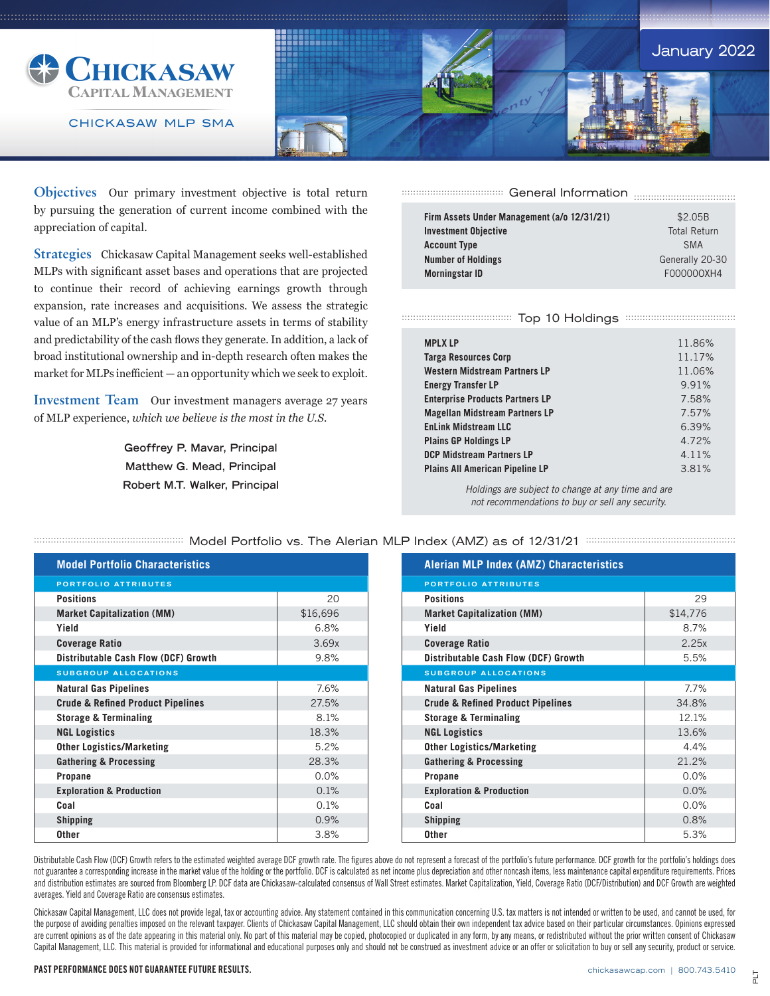

CHICKASAW MLP SMA



**Objectives** Our primary investment objective is total return by pursuing the generation of current income combined with the appreciation of capital.

**Strategies** Chickasaw Capital Management seeks well-established MLPs with significant asset bases and operations that are projected to continue their record of achieving earnings growth through expansion, rate increases and acquisitions. We assess the strategic value of an MLP's energy infrastructure assets in terms of stability and predictability of the cash flows they generate. In addition, a lack of broad institutional ownership and in-depth research often makes the market for MLPs inefficient — an opportunity which we seek to exploit.

**Investment Team** Our investment managers average 27 years of MLP experience, *which we believe is the most in the U.S.*

> **Geoffrey P. Mavar, Principal Matthew G. Mead, Principal Robert M.T. Walker, Principal**

General Information .................................... .................................... .................................... ....................................

| Firm Assets Under Management (a/o 12/31/21) | \$2.05B             |  |  |  |
|---------------------------------------------|---------------------|--|--|--|
| <b>Investment Objective</b>                 | <b>Total Return</b> |  |  |  |
| <b>Account Type</b>                         | <b>SMA</b>          |  |  |  |
| <b>Number of Holdings</b>                   | Generally 20-30     |  |  |  |
| <b>Morningstar ID</b>                       | F000000XH4          |  |  |  |
|                                             |                     |  |  |  |

## Top 10 Holdings ....................................... ....................................... ....................................... .......................................

| <b>MPLX LP</b>                         | 11.86% |
|----------------------------------------|--------|
| <b>Targa Resources Corp</b>            | 11.17% |
|                                        |        |
| <b>Western Midstream Partners LP</b>   | 11.06% |
| <b>Energy Transfer LP</b>              | 9.91%  |
| <b>Enterprise Products Partners LP</b> | 7.58%  |
| <b>Magellan Midstream Partners LP</b>  | 7.57%  |
| <b>EnLink Midstream LLC</b>            | 6.39%  |
| <b>Plains GP Holdings LP</b>           | 4.72%  |
| <b>DCP Midstream Partners LP</b>       | 4.11%  |
| <b>Plains All American Pipeline LP</b> | 3.81%  |

*Holdings are subject to change at any time and are not recommendations to buy or sell any security.*

| <b>Model Portfolio Characteristics</b>       |          |
|----------------------------------------------|----------|
| <b>PORTFOLIO ATTRIBUTES</b>                  |          |
| <b>Positions</b>                             | 20       |
| <b>Market Capitalization (MM)</b>            | \$16,696 |
| Yield                                        | 6.8%     |
| <b>Coverage Ratio</b>                        | 3.69x    |
| <b>Distributable Cash Flow (DCF) Growth</b>  | 9.8%     |
| <b>SUBGROUP ALLOCATIONS</b>                  |          |
| <b>Natural Gas Pipelines</b>                 | 7.6%     |
| <b>Crude &amp; Refined Product Pipelines</b> | 27.5%    |
| <b>Storage &amp; Terminaling</b>             | 8.1%     |
| <b>NGL Logistics</b>                         | 18.3%    |
| <b>Other Logistics/Marketing</b>             | 5.2%     |
| <b>Gathering &amp; Processing</b>            | 28.3%    |
| <b>Propane</b>                               | 0.0%     |
| <b>Exploration &amp; Production</b>          | 0.1%     |
| Coal                                         | 0.1%     |
| <b>Shipping</b>                              | 0.9%     |
| <b>Other</b>                                 | 3.8%     |

**EXECUTE: A SET OF STACK OF STACK OF STACK SET OF STACK STACK STACK STACK STACK STACK STACK STACK STACK STACK S** 

| <b>Alerian MLP Index (AMZ) Characteristics</b> |          |
|------------------------------------------------|----------|
| <b>PORTFOLIO ATTRIBUTES</b>                    |          |
| <b>Positions</b>                               | 29       |
| <b>Market Capitalization (MM)</b>              | \$14,776 |
| Yield                                          | 8.7%     |
| <b>Coverage Ratio</b>                          | 2.25x    |
| Distributable Cash Flow (DCF) Growth           | 5.5%     |
| <b>SUBGROUP ALLOCATIONS</b>                    |          |
| <b>Natural Gas Pipelines</b>                   | 7.7%     |
| <b>Crude &amp; Refined Product Pipelines</b>   | 34.8%    |
| <b>Storage &amp; Terminaling</b>               | 12.1%    |
| <b>NGL Logistics</b>                           | 13.6%    |
| <b>Other Logistics/Marketing</b>               | 4.4%     |
| <b>Gathering &amp; Processing</b>              | 21.2%    |
| Propane                                        | 0.0%     |
| <b>Exploration &amp; Production</b>            | 0.0%     |
| Coal                                           | 0.0%     |
| <b>Shipping</b>                                | 0.8%     |
| <b>Other</b>                                   | 5.3%     |

Distributable Cash Flow (DCF) Growth refers to the estimated weighted average DCF growth rate. The figures above do not represent a forecast of the portfolio's future performance. DCF growth for the portfolio's holdings do not guarantee a corresponding increase in the market value of the holding or the portfolio. DCF is calculated as net income plus depreciation and other noncash items, less maintenance capital expenditure requirements. Prices and distribution estimates are sourced from Bloomberg LP. DCF data are Chickasaw-calculated consensus of Wall Street estimates. Market Capitalization, Yield, Coverage Ratio (DCF/Distribution) and DCF Growth are weighted averages. Yield and Coverage Ratio are consensus estimates.

Chickasaw Capital Management, LLC does not provide legal, tax or accounting advice. Any statement contained in this communication concerning U.S. tax matters is not intended or written to be used, and cannot be used, for the purpose of avoiding penalties imposed on the relevant taxpayer. Clients of Chickasaw Capital Management, LLC should obtain their own independent tax advice based on their particular circumstances. Opinions expressed are current opinions as of the date appearing in this material only. No part of this material may be copied, photocopied or duplicated in any form, by any means, or redistributed without the prior written consent of Chicka Capital Management, LLC. This material is provided for informational and educational purposes only and should not be construed as investment advice or an offer or solicitation to buy or sell any security, product or service.

PAST PERFORMANCE DOES NOT GUARANTEE FUTURE RESULTS.

## chickasawcap.com | 800.743.5410

PLT